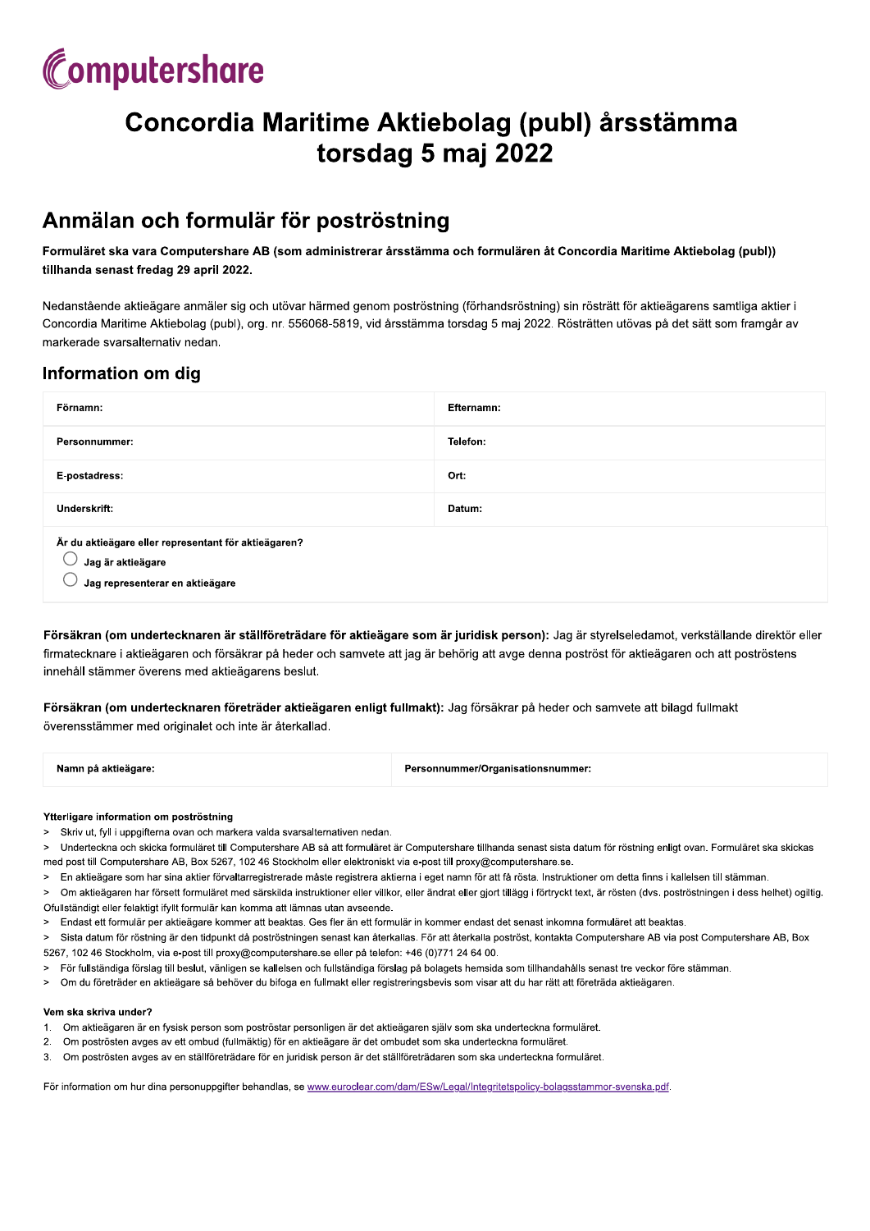# Computershare

# Concordia Maritime Aktiebolag (publ) årsstämma torsdag 5 maj 2022

## Anmälan och formulär för poströstning

Formuläret ska vara Computershare AB (som administrerar årsstämma och formulären åt Concordia Maritime Aktiebolag (publ)) tillhanda senast fredag 29 april 2022.

Nedanstående aktieägare anmäler sig och utövar härmed genom poströstning (förhandsröstning) sin rösträtt för aktieägarens samtliga aktier i Concordia Maritime Aktiebolag (publ), org. nr. 556068-5819, vid årsstämma torsdag 5 maj 2022. Rösträtten utövas på det sätt som framgår av markerade svarsalternativ nedan.

### Information om dig

| Förnamn:                                                                                                     | Efternamn: |
|--------------------------------------------------------------------------------------------------------------|------------|
| Personnummer:                                                                                                | Telefon:   |
| E-postadress:                                                                                                | Ort:       |
| Underskrift:                                                                                                 | Datum:     |
| Är du aktieägare eller representant för aktieägaren?<br>Jag är aktieägare<br>Jag representerar en aktieägare |            |

Försäkran (om undertecknaren är ställföreträdare för aktieägare som är juridisk person): Jag är styrelseledamot, verkställande direktör eller firmatecknare i aktieägaren och försäkrar på heder och samvete att jag är behörig att avge denna poströst för aktieägaren och att poströstens innehåll stämmer överens med aktieägarens beslut.

Försäkran (om undertecknaren företräder aktieägaren enligt fullmakt): Jag försäkrar på heder och samvete att bilagd fullmakt överensstämmer med originalet och inte är återkallad.

| Namn på aktieägare: | Personnummer/Organisationsnummer: |
|---------------------|-----------------------------------|
|                     |                                   |

#### Ytterligare information om poströstning

- > Skriv ut, fyll i uppgifterna ovan och markera valda svarsalternativen nedan.
- $\sim$ Underteckna och skicka formuläret till Computershare AB så att formuläret är Computershare tillhanda senast sista datum för röstning enligt ovan. Formuläret ska skickas med post till Computershare AB, Box 5267, 102 46 Stockholm eller elektroniskt via e-post till proxy@computershare.se.
- En aktieägare som har sina aktier förvaltarregistrerade måste registrera aktierna i eget namn för att få rösta. Instruktioner om detta finns i kallelsen till stämman.  $\geq$
- > Om aktieägaren har försett formuläret med särskilda instruktioner eller villkor, eller ändrat eller gjort tillägg i förtryckt text, är rösten (dvs. poströstningen i dess helhet) ogiltig. Ofullständigt eller felaktigt ifvllt formulär kan komma att lämnas utan avseende.
- > Endast ett formulär per aktieägare kommer att beaktas. Ges fler än ett formulär in kommer endast det senast inkomna formuläret att beaktas.
- Sista datum för röstning är den tidpunkt då poströstningen senast kan återkallas. För att återkalla poströst, kontakta Computershare AB via post Computershare AB, Box  $\geq$ 5267, 102 46 Stockholm, via e-post till proxy@computershare.se eller på telefon: +46 (0)771 24 64 00.
- För fullständiga förslag till beslut, vänligen se kallelsen och fullständiga förslag på bolagets hemsida som tillhandahålls senast tre veckor före stämman.
- Om du företräder en aktieägare så behöver du bifoga en fullmakt eller registreringsbevis som visar att du har rätt att företräda aktieägaren.  $\rightarrow$

#### Vem ska skriva under?

- Om aktieägaren är en fysisk person som poströstar personligen är det aktieägaren själv som ska underteckna formuläret.  $1<sup>1</sup>$
- $\overline{2}$ Om poströsten avges av ett ombud (fullmäktig) för en aktieägare är det ombudet som ska underteckna formuläret
- Om poströsten avges av en ställföreträdare för en juridisk person är det ställföreträdaren som ska underteckna formuläret. 3.

För information om hur dina personuppgifter behandlas, se www.euroclear.com/dam/ESw/Legal/Integritetspolicy-bolagsstammor-svenska.pdf.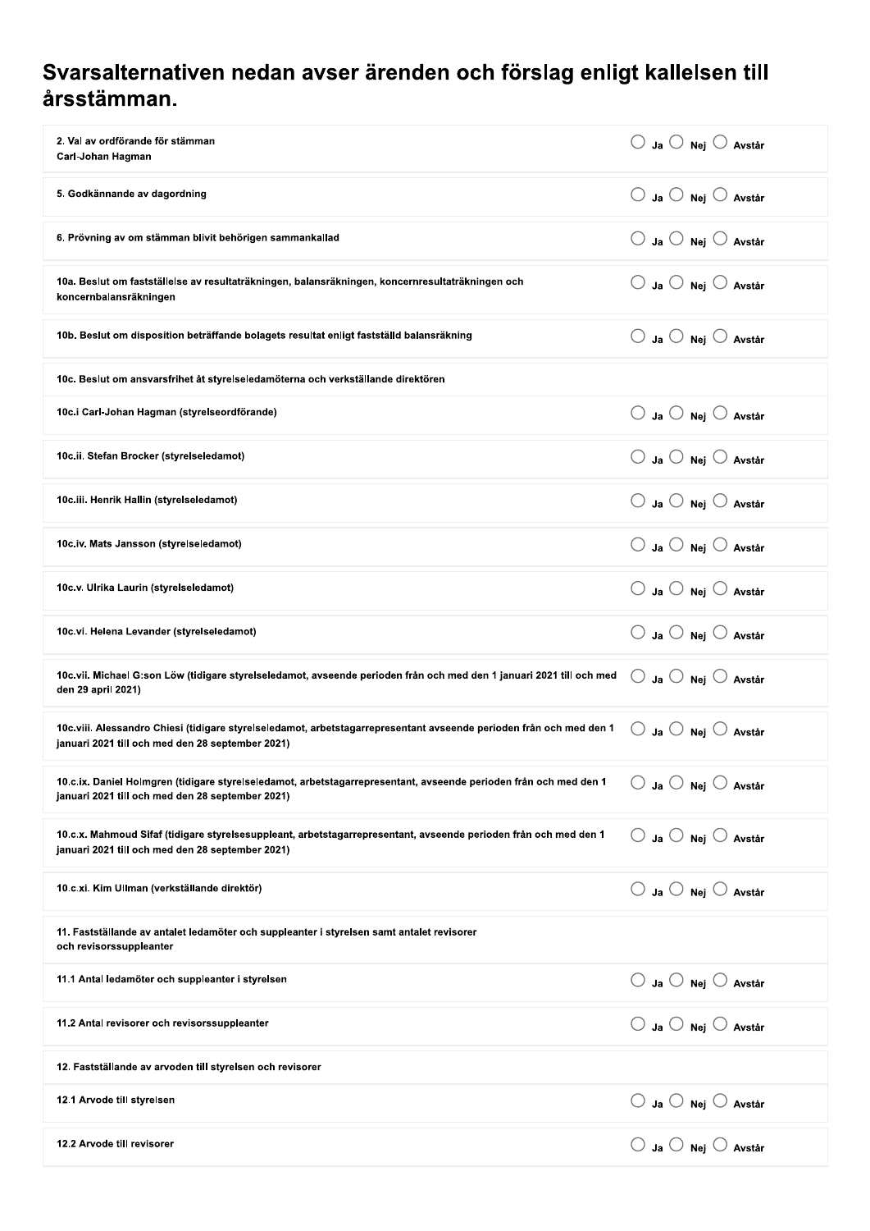## Svarsalternativen nedan avser ärenden och förslag enligt kallelsen till årsstämman.

| 2. Val av ordförande för stämman<br>Carl-Johan Hagman                                                                                                                                                                       | $\bigcirc$ Ja $\bigcirc$ Nej $\bigcirc$ Avstår |
|-----------------------------------------------------------------------------------------------------------------------------------------------------------------------------------------------------------------------------|------------------------------------------------|
| 5. Godkännande av dagordning                                                                                                                                                                                                | $\bigcirc$ Ja $\bigcirc$ Nej $\bigcirc$ Avstår |
| 6. Prövning av om stämman blivit behörigen sammankallad                                                                                                                                                                     | $\bigcirc$ Ja $\bigcirc$ Nej $\bigcirc$ Avstår |
| 10a. Beslut om fastställelse av resultaträkningen, balansräkningen, koncernresultaträkningen och<br>koncernbalansräkningen                                                                                                  | $\bigcirc$ Ja $\bigcirc$ Nei $\bigcirc$ Avstår |
| 10b. Beslut om disposition beträffande bolagets resultat enligt fastställd balansräkning                                                                                                                                    | $\bigcirc$ Ja $\bigcirc$ Nej $\bigcirc$ Avstår |
| 10c. Beslut om ansvarsfrihet åt styrelseledamöterna och verkställande direktören                                                                                                                                            |                                                |
| 10c.i Carl-Johan Hagman (styrelseordförande)                                                                                                                                                                                | $\bigcirc$ Ja $\bigcirc$ Nej $\bigcirc$ Avstår |
| 10c.ii. Stefan Brocker (styrelseledamot)                                                                                                                                                                                    | $\bigcirc$ Ja $\bigcirc$ Nej $\bigcirc$ Avstår |
| 10c.iii. Henrik Hallin (styrelseledamot)                                                                                                                                                                                    | $\bigcirc$ Ja $\bigcirc$ Nej $\bigcirc$ Avstår |
| 10c.iv. Mats Jansson (styrelseledamot)                                                                                                                                                                                      | $\bigcirc$ Ja $\bigcirc$ Nej $\bigcirc$ Avstår |
| 10c.v. Ulrika Laurin (styrelseledamot)                                                                                                                                                                                      | $\bigcirc$ Ja $\bigcirc$ Nej $\bigcirc$ Avstår |
| 10c.vi. Helena Levander (styrelseledamot)                                                                                                                                                                                   | $\bigcirc$ Ja $\bigcirc$ Nej $\bigcirc$ Avstår |
| 10c.vii. Michael G:son Löw (tidigare styrelseledamot, avseende perioden från och med den 1 januari 2021 till och med<br>den 29 april 2021)                                                                                  | $\bigcirc$ Ja $\bigcirc$ Nej $\bigcirc$ Avstår |
| 10c.viii. Alessandro Chiesi (tidigare styrelseledamot, arbetstagarrepresentant avseende perioden från och med den 1<br>januari 2021 till och med den 28 september 2021)                                                     | $\bigcirc$ Ja $\bigcirc$ Nej $\bigcirc$ Avstår |
| 10.c.ix. Daniel Holmgren (tidigare styrelseledamot, arbetstagarrepresentant, avseende perioden från och med den 1 $\;\;\circ\;\;$ Ja $\;\circ\;$ Nej $\;\circ\;$ Avstår<br>januari 2021 till och med den 28 september 2021) |                                                |
| 10.c.x. Mahmoud Sifaf (tidigare styrelsesuppleant, arbetstagarrepresentant, avseende perioden från och med den 1<br>januari 2021 till och med den 28 september 2021)                                                        | $\bigcirc$ Ja $\bigcirc$ Nej $\bigcirc$ Avstår |
| 10.c.xi. Kim Ullman (verkställande direktör)                                                                                                                                                                                | $\bigcirc$ Ja $\bigcirc$ Nej $\bigcirc$ Avstår |
| 11. Fastställande av antalet ledamöter och suppleanter i styrelsen samt antalet revisorer<br>och revisorssuppleanter                                                                                                        |                                                |
| 11.1 Antal ledamöter och suppleanter i styrelsen                                                                                                                                                                            | $\bigcirc$ Ja $\bigcirc$ Nej $\bigcirc$ Avstår |
| 11.2 Antal revisorer och revisorssuppleanter                                                                                                                                                                                | $\bigcirc$ Ja $\bigcirc$ Nej $\bigcirc$ Avstår |
| 12. Fastställande av arvoden till styrelsen och revisorer                                                                                                                                                                   |                                                |
| 12.1 Arvode till styrelsen                                                                                                                                                                                                  | $\bigcirc$ Ja $\bigcirc$ Nej $\bigcirc$ Avstår |
| 12.2 Arvode till revisorer                                                                                                                                                                                                  | $\bigcirc$ Ja $\bigcirc$ Nej $\bigcirc$ Avstår |